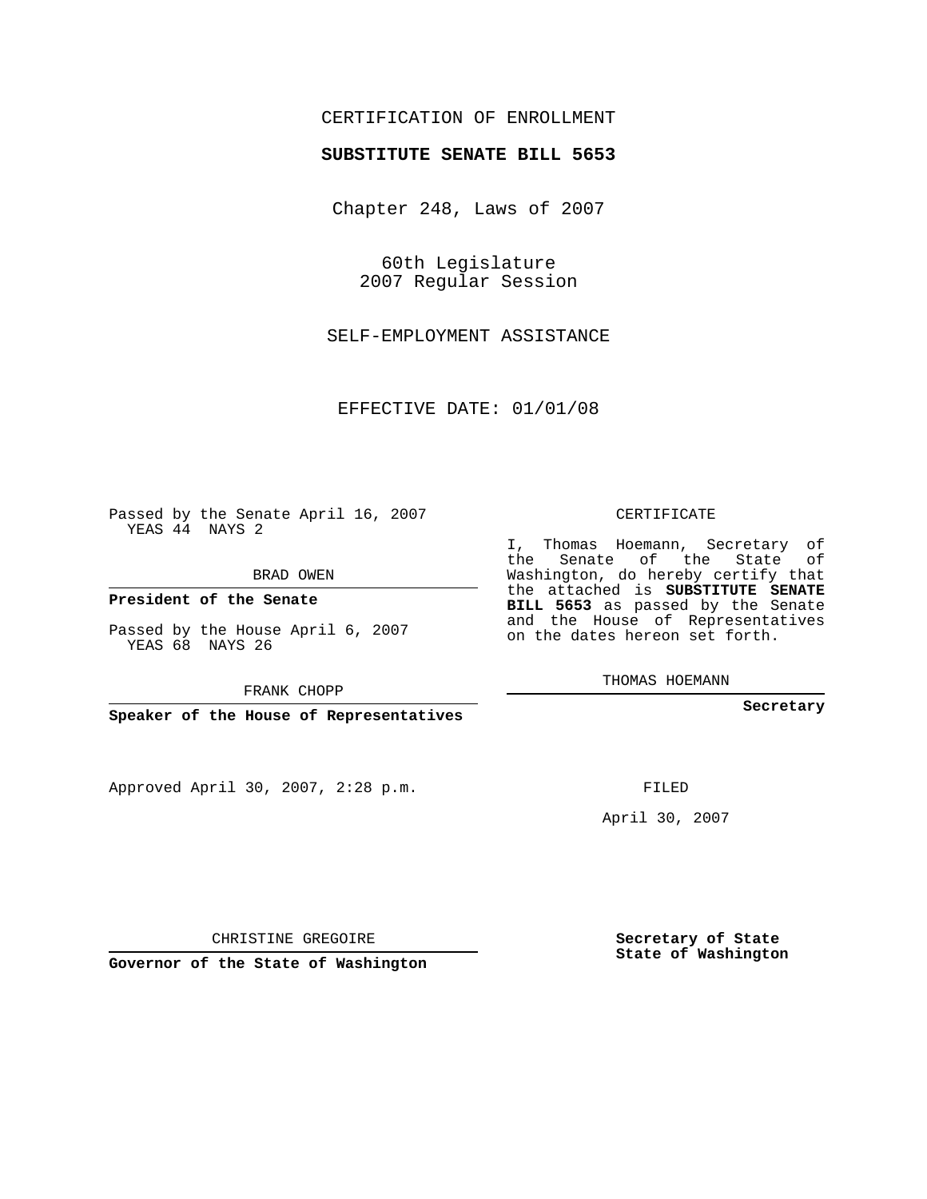## CERTIFICATION OF ENROLLMENT

#### **SUBSTITUTE SENATE BILL 5653**

Chapter 248, Laws of 2007

60th Legislature 2007 Regular Session

SELF-EMPLOYMENT ASSISTANCE

EFFECTIVE DATE: 01/01/08

Passed by the Senate April 16, 2007 YEAS 44 NAYS 2

BRAD OWEN

**President of the Senate**

Passed by the House April 6, 2007 YEAS 68 NAYS 26

FRANK CHOPP

**Speaker of the House of Representatives**

Approved April 30, 2007, 2:28 p.m.

CERTIFICATE

I, Thomas Hoemann, Secretary of the Senate of the State of Washington, do hereby certify that the attached is **SUBSTITUTE SENATE BILL 5653** as passed by the Senate and the House of Representatives on the dates hereon set forth.

THOMAS HOEMANN

**Secretary**

FILED

April 30, 2007

**Secretary of State State of Washington**

CHRISTINE GREGOIRE

**Governor of the State of Washington**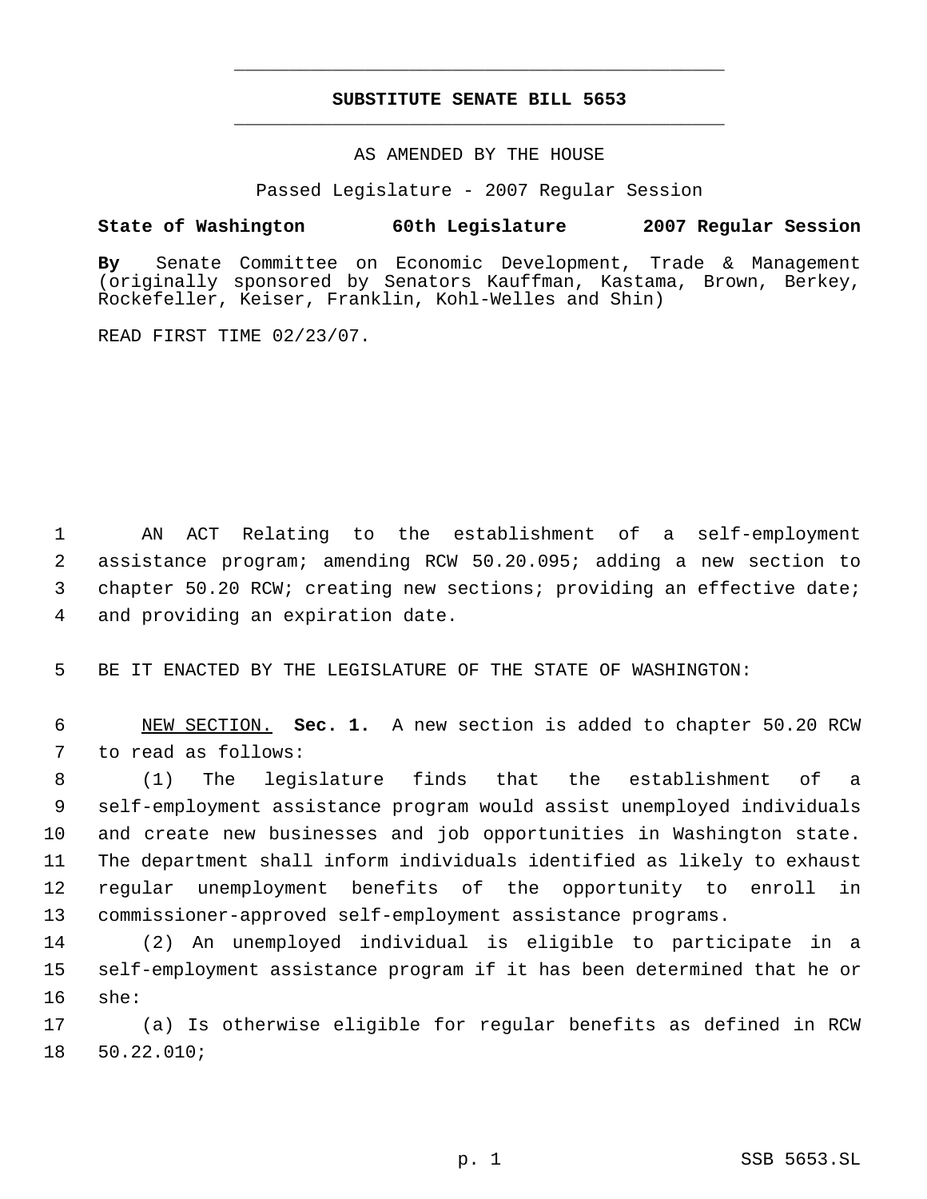# **SUBSTITUTE SENATE BILL 5653** \_\_\_\_\_\_\_\_\_\_\_\_\_\_\_\_\_\_\_\_\_\_\_\_\_\_\_\_\_\_\_\_\_\_\_\_\_\_\_\_\_\_\_\_\_

\_\_\_\_\_\_\_\_\_\_\_\_\_\_\_\_\_\_\_\_\_\_\_\_\_\_\_\_\_\_\_\_\_\_\_\_\_\_\_\_\_\_\_\_\_

## AS AMENDED BY THE HOUSE

Passed Legislature - 2007 Regular Session

## **State of Washington 60th Legislature 2007 Regular Session**

**By** Senate Committee on Economic Development, Trade & Management (originally sponsored by Senators Kauffman, Kastama, Brown, Berkey, Rockefeller, Keiser, Franklin, Kohl-Welles and Shin)

READ FIRST TIME 02/23/07.

 AN ACT Relating to the establishment of a self-employment assistance program; amending RCW 50.20.095; adding a new section to chapter 50.20 RCW; creating new sections; providing an effective date; and providing an expiration date.

BE IT ENACTED BY THE LEGISLATURE OF THE STATE OF WASHINGTON:

 NEW SECTION. **Sec. 1.** A new section is added to chapter 50.20 RCW to read as follows:

 (1) The legislature finds that the establishment of a self-employment assistance program would assist unemployed individuals and create new businesses and job opportunities in Washington state. The department shall inform individuals identified as likely to exhaust regular unemployment benefits of the opportunity to enroll in commissioner-approved self-employment assistance programs.

 (2) An unemployed individual is eligible to participate in a self-employment assistance program if it has been determined that he or she:

 (a) Is otherwise eligible for regular benefits as defined in RCW 50.22.010;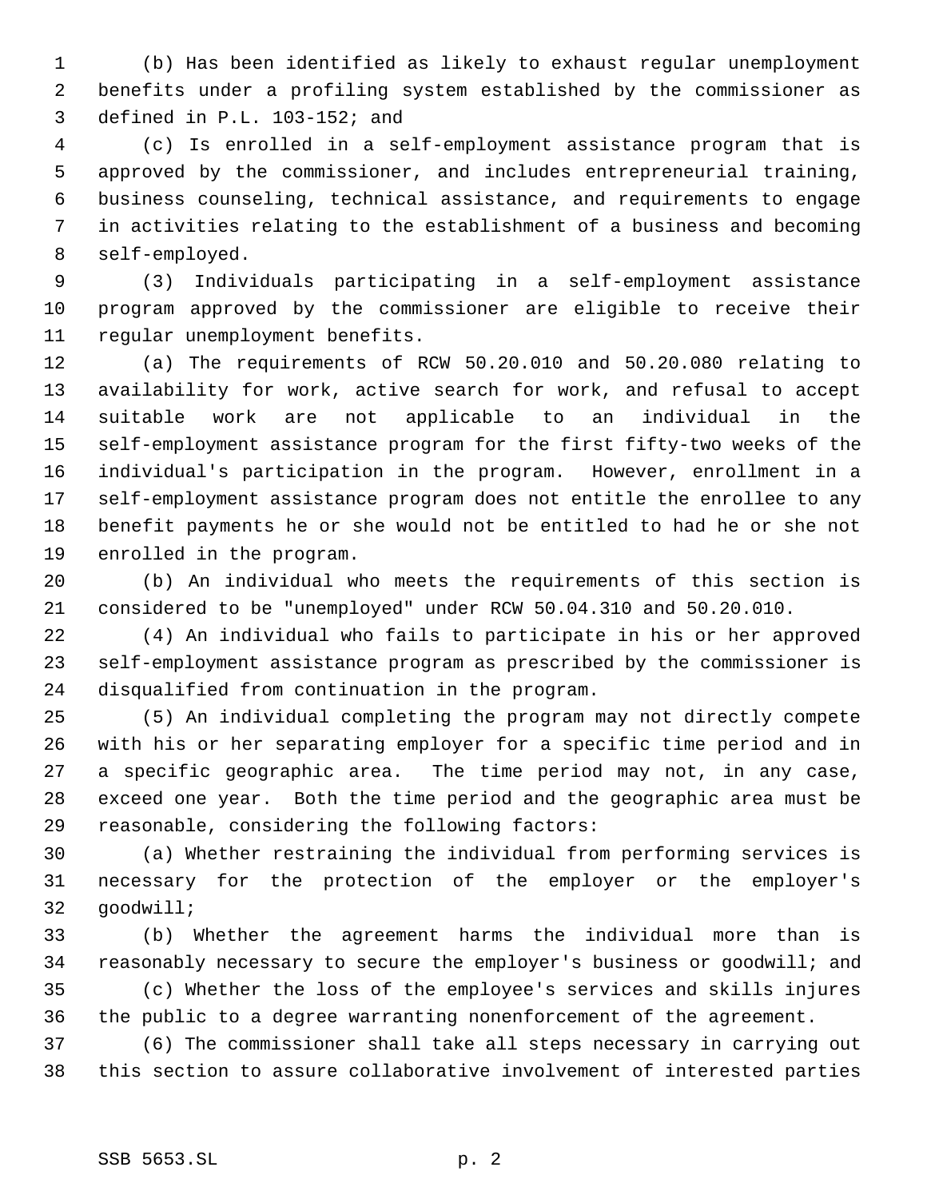(b) Has been identified as likely to exhaust regular unemployment benefits under a profiling system established by the commissioner as defined in P.L. 103-152; and

 (c) Is enrolled in a self-employment assistance program that is approved by the commissioner, and includes entrepreneurial training, business counseling, technical assistance, and requirements to engage in activities relating to the establishment of a business and becoming self-employed.

 (3) Individuals participating in a self-employment assistance program approved by the commissioner are eligible to receive their regular unemployment benefits.

 (a) The requirements of RCW 50.20.010 and 50.20.080 relating to availability for work, active search for work, and refusal to accept suitable work are not applicable to an individual in the self-employment assistance program for the first fifty-two weeks of the individual's participation in the program. However, enrollment in a self-employment assistance program does not entitle the enrollee to any benefit payments he or she would not be entitled to had he or she not enrolled in the program.

 (b) An individual who meets the requirements of this section is considered to be "unemployed" under RCW 50.04.310 and 50.20.010.

 (4) An individual who fails to participate in his or her approved self-employment assistance program as prescribed by the commissioner is disqualified from continuation in the program.

 (5) An individual completing the program may not directly compete with his or her separating employer for a specific time period and in a specific geographic area. The time period may not, in any case, exceed one year. Both the time period and the geographic area must be reasonable, considering the following factors:

 (a) Whether restraining the individual from performing services is necessary for the protection of the employer or the employer's goodwill;

 (b) Whether the agreement harms the individual more than is reasonably necessary to secure the employer's business or goodwill; and (c) Whether the loss of the employee's services and skills injures

the public to a degree warranting nonenforcement of the agreement.

 (6) The commissioner shall take all steps necessary in carrying out this section to assure collaborative involvement of interested parties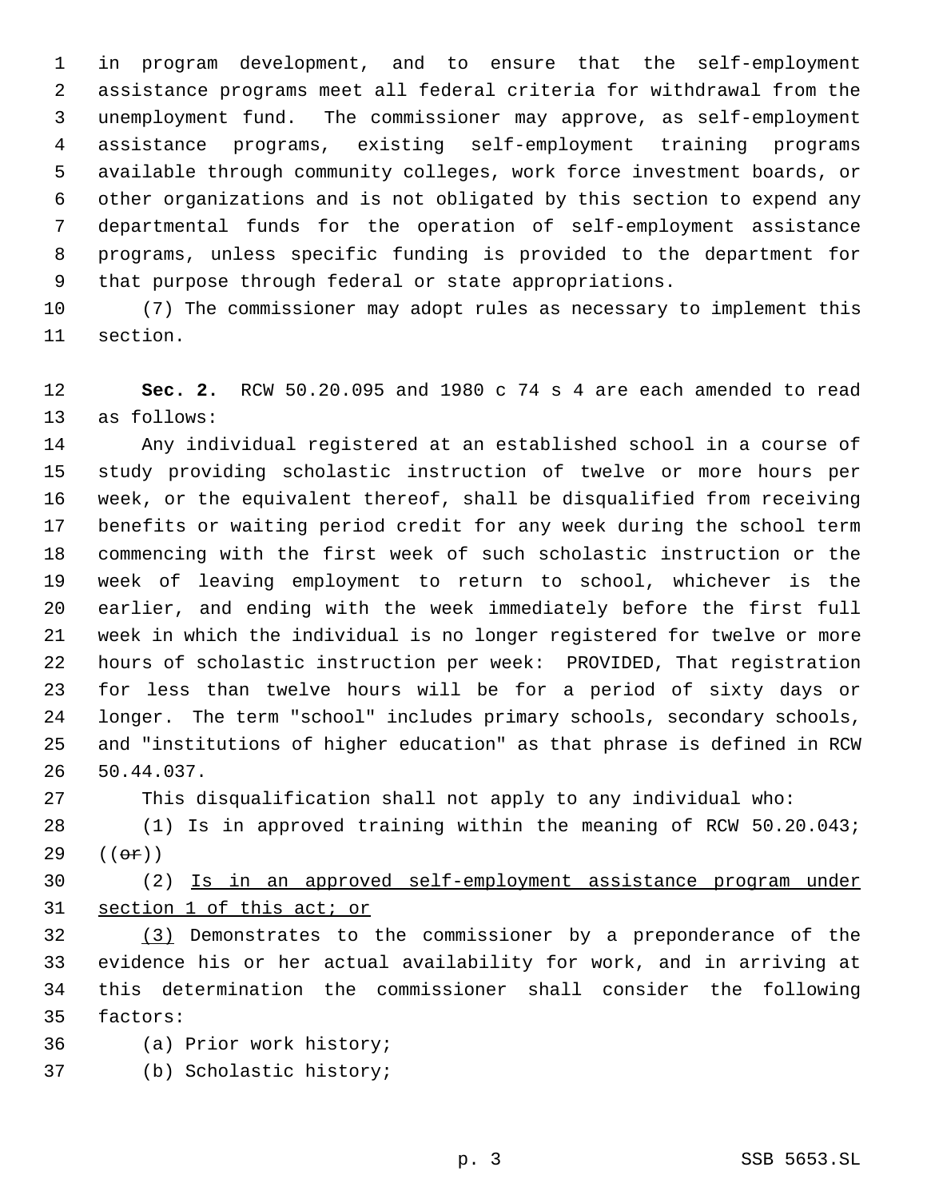in program development, and to ensure that the self-employment assistance programs meet all federal criteria for withdrawal from the unemployment fund. The commissioner may approve, as self-employment assistance programs, existing self-employment training programs available through community colleges, work force investment boards, or other organizations and is not obligated by this section to expend any departmental funds for the operation of self-employment assistance programs, unless specific funding is provided to the department for that purpose through federal or state appropriations.

 (7) The commissioner may adopt rules as necessary to implement this section.

 **Sec. 2.** RCW 50.20.095 and 1980 c 74 s 4 are each amended to read as follows:

 Any individual registered at an established school in a course of study providing scholastic instruction of twelve or more hours per week, or the equivalent thereof, shall be disqualified from receiving benefits or waiting period credit for any week during the school term commencing with the first week of such scholastic instruction or the week of leaving employment to return to school, whichever is the earlier, and ending with the week immediately before the first full week in which the individual is no longer registered for twelve or more hours of scholastic instruction per week: PROVIDED, That registration for less than twelve hours will be for a period of sixty days or longer. The term "school" includes primary schools, secondary schools, and "institutions of higher education" as that phrase is defined in RCW 50.44.037.

This disqualification shall not apply to any individual who:

 (1) Is in approved training within the meaning of RCW 50.20.043; 29  $((e^e)^n)$ 

 (2) Is in an approved self-employment assistance program under section 1 of this act; or

 (3) Demonstrates to the commissioner by a preponderance of the evidence his or her actual availability for work, and in arriving at this determination the commissioner shall consider the following factors:

- (a) Prior work history;
- (b) Scholastic history;